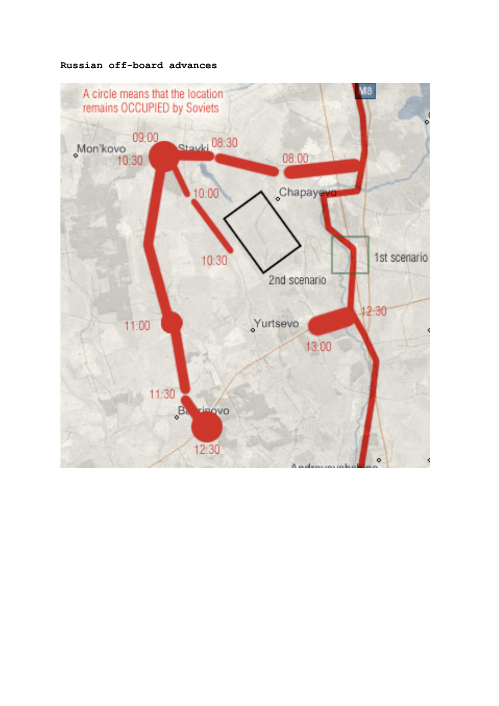## **Russian off-board advances**

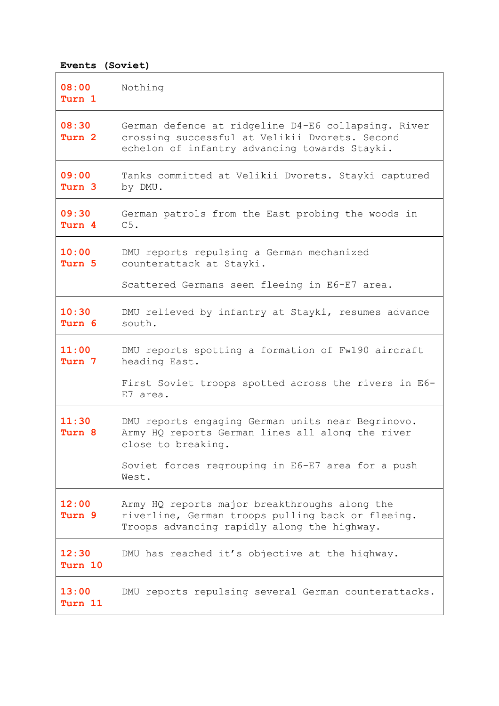## **Events (Soviet)**

| 08:00<br>Turn 1  | Nothing                                                                                                                                                |  |  |  |  |  |  |
|------------------|--------------------------------------------------------------------------------------------------------------------------------------------------------|--|--|--|--|--|--|
| 08:30<br>Turn 2  | German defence at ridgeline D4-E6 collapsing. River<br>crossing successful at Velikii Dvorets. Second<br>echelon of infantry advancing towards Stayki. |  |  |  |  |  |  |
| 09:00<br>Turn 3  | Tanks committed at Velikii Dvorets. Stayki captured<br>by DMU.                                                                                         |  |  |  |  |  |  |
| 09:30<br>Turn 4  | German patrols from the East probing the woods in<br>C5.                                                                                               |  |  |  |  |  |  |
| 10:00<br>Turn 5  | DMU reports repulsing a German mechanized<br>counterattack at Stayki.                                                                                  |  |  |  |  |  |  |
|                  | Scattered Germans seen fleeing in E6-E7 area.                                                                                                          |  |  |  |  |  |  |
| 10:30<br>Turn 6  | DMU relieved by infantry at Stayki, resumes advance<br>south.                                                                                          |  |  |  |  |  |  |
| 11:00<br>Turn 7  | DMU reports spotting a formation of Fw190 aircraft<br>heading East.                                                                                    |  |  |  |  |  |  |
|                  | First Soviet troops spotted across the rivers in E6-<br>E7 area.                                                                                       |  |  |  |  |  |  |
| 11:30<br>Turn 8  | DMU reports engaging German units near Begrinovo.<br>Army HQ reports German lines all along the river<br>close to breaking.                            |  |  |  |  |  |  |
|                  | Soviet forces regrouping in E6-E7 area for a push<br>West.                                                                                             |  |  |  |  |  |  |
| 12:00<br>Turn 9  | Army HQ reports major breakthroughs along the<br>riverline, German troops pulling back or fleeing.<br>Troops advancing rapidly along the highway.      |  |  |  |  |  |  |
| 12:30<br>Turn 10 | DMU has reached it's objective at the highway.                                                                                                         |  |  |  |  |  |  |
| 13:00<br>Turn 11 | DMU reports repulsing several German counterattacks.                                                                                                   |  |  |  |  |  |  |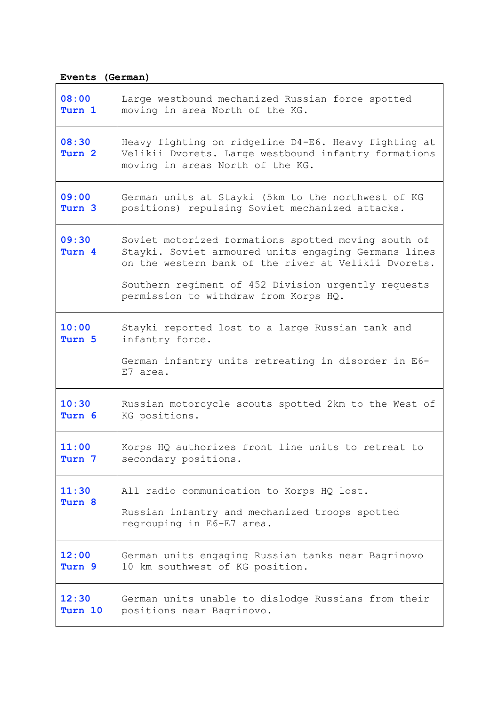## **Events (German)**

| 08:00           | Large westbound mechanized Russian force spotted                                                                                                                                                                                                                    |  |  |  |  |  |  |
|-----------------|---------------------------------------------------------------------------------------------------------------------------------------------------------------------------------------------------------------------------------------------------------------------|--|--|--|--|--|--|
| Turn 1          | moving in area North of the KG.                                                                                                                                                                                                                                     |  |  |  |  |  |  |
| 08:30<br>Turn 2 | Heavy fighting on ridgeline D4-E6. Heavy fighting at<br>Velikii Dvorets. Large westbound infantry formations<br>moving in areas North of the KG.                                                                                                                    |  |  |  |  |  |  |
| 09:00           | German units at Stayki (5km to the northwest of KG                                                                                                                                                                                                                  |  |  |  |  |  |  |
| Turn 3          | positions) repulsing Soviet mechanized attacks.                                                                                                                                                                                                                     |  |  |  |  |  |  |
| 09:30<br>Turn 4 | Soviet motorized formations spotted moving south of<br>Stayki. Soviet armoured units engaging Germans lines<br>on the western bank of the river at Velikii Dvorets.<br>Southern regiment of 452 Division urgently requests<br>permission to withdraw from Korps HQ. |  |  |  |  |  |  |
| 10:00<br>Turn 5 | Stayki reported lost to a large Russian tank and<br>infantry force.<br>German infantry units retreating in disorder in E6-<br>E7 area.                                                                                                                              |  |  |  |  |  |  |
| 10:30           | Russian motorcycle scouts spotted 2km to the West of                                                                                                                                                                                                                |  |  |  |  |  |  |
| Turn 6          | KG positions.                                                                                                                                                                                                                                                       |  |  |  |  |  |  |
| 11:00           | Korps HQ authorizes front line units to retreat to                                                                                                                                                                                                                  |  |  |  |  |  |  |
| Turn 7          | secondary positions.                                                                                                                                                                                                                                                |  |  |  |  |  |  |
| 11:30<br>Turn 8 | All radio communication to Korps HQ lost.<br>Russian infantry and mechanized troops spotted<br>regrouping in E6-E7 area.                                                                                                                                            |  |  |  |  |  |  |
| 12:00           | German units engaging Russian tanks near Bagrinovo                                                                                                                                                                                                                  |  |  |  |  |  |  |
| Turn 9          | 10 km southwest of KG position.                                                                                                                                                                                                                                     |  |  |  |  |  |  |
| 12:30           | German units unable to dislodge Russians from their                                                                                                                                                                                                                 |  |  |  |  |  |  |
| Turn 10         | positions near Bagrinovo.                                                                                                                                                                                                                                           |  |  |  |  |  |  |